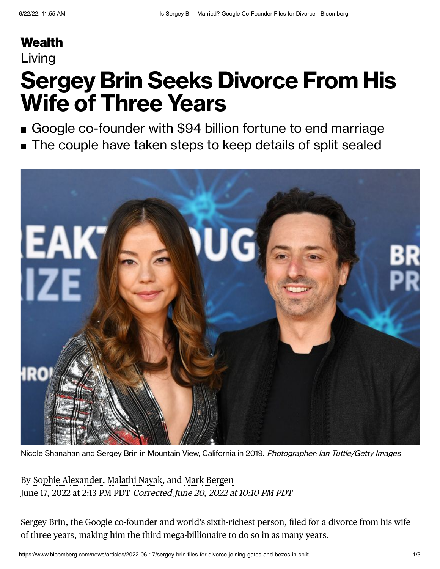## **[Wealth](https://www.bloomberg.com/wealth?source=eyebrow)**

### Living

# **Sergey Brin Seeks Divorce From His Wife of Three Years**

- Google co-founder with \$94 billion fortune to end marriage
- The couple have taken steps to keep details of split sealed



Nicole Shanahan and Sergey Brin in Mountain View, California in 2019. Photographer: Ian Tuttle/Getty Images

By Sophie [Alexander,](https://www.bloomberg.com/authors/ATsVZP56T9I/sophie-alexander) [Malathi](https://www.bloomberg.com/authors/ATHEhfDdKU4/malathi-nayak) Nayak, and Mark [Bergen](https://www.bloomberg.com/authors/ATAlg7b7W-Q/mark-bergen) June 17, 2022 at 2:13 PM PDT Corrected June 20, 2022 at 10:10 PM PDT

Sergey Brin, the Google co-founder and world's sixth-richest person, filed for a divorce from his wife of three years, making him the third mega-billionaire to do so in as many years.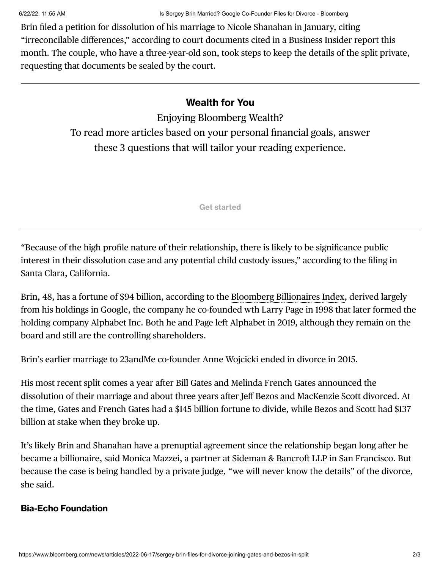Brin filed a petition for dissolution of his marriage to Nicole Shanahan in January, citing "irreconcilable differences," according to court documents cited in a Business Insider report this month. The couple, who have a three-year-old son, took steps to keep the details of the split private, requesting that documents be sealed by the court.

### **Wealth for You**

Enjoying Bloomberg Wealth? To read more articles based on your personal financial goals, answer these 3 questions that will tailor your reading experience.

**Get started**

"Because of the high profile nature of their relationship, there is likely to be significance public interest in their dissolution case and any potential child custody issues," according to the filing in Santa Clara, California.

Brin, 48, has a fortune of \$94 billion, according to the Bloomberg [Billionaires](https://www.bloomberg.com/billionaires/) Index, derived largely from his holdings in Google, the company he co-founded wth Larry Page in 1998 that later formed the holding company Alphabet Inc. Both he and Page left Alphabet in 2019, although they remain on the board and still are the controlling shareholders.

Brin's earlier marriage to 23andMe co-founder Anne Wojcicki ended in divorce in 2015.

His most recent split comes a year after Bill Gates and Melinda French Gates announced the dissolution of their marriage and about three years after Jeff Bezos and MacKenzie Scott divorced. At the time, Gates and French Gates had a \$145 billion fortune to divide, while Bezos and Scott had \$137 billion at stake when they broke up.

It's likely Brin and Shanahan have a prenuptial agreement since the relationship began long after he became a billionaire, said Monica Mazzei, a partner at [Sideman](https://www.bloomberg.com/quote/8223540L:US) & Bancroft LLP in San Francisco. But because the case is being handled by a private judge, "we will never know the details" of the divorce, she said.

#### **Bia-Echo Foundation**